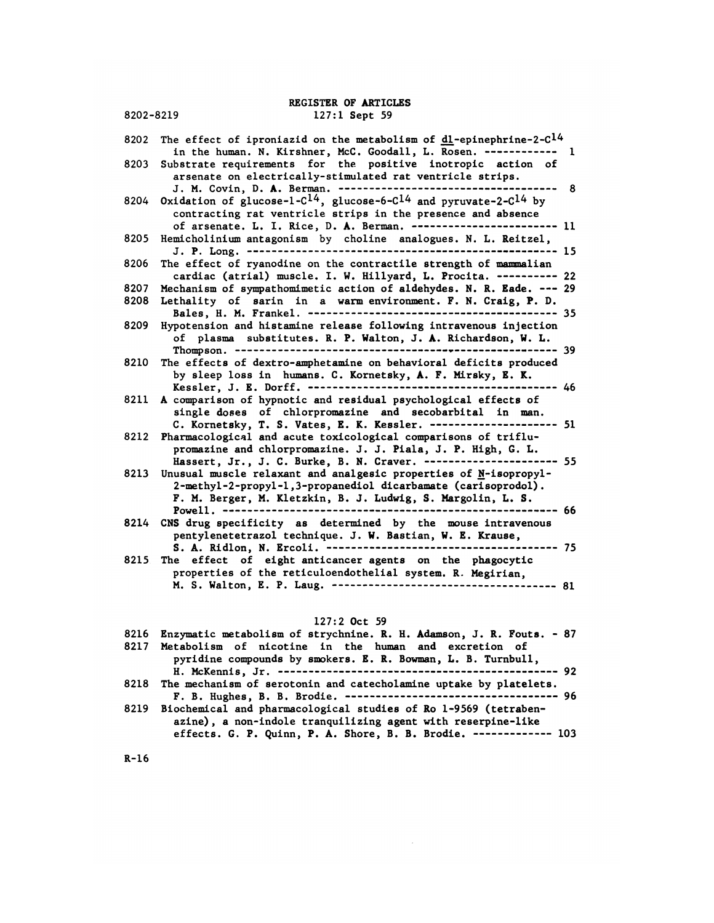REGISTER OF ARTICLES<br>127:1 Sept 59 REGISTER OF ARTICLES<br>8202-8219 127:1 Sept 59

REGISTER OF ARTICLES<br>127:1 Sept 59<br>8202 The effect of iproniazid on the metabolism of <u>dl</u>-epinephrine-2-C<sup>14</sup><br>in the human. N. Kirshner, McC. Goodall, L. Rosen. ------------REGISTER OF ARTICLES<br>
127:1 Sept 59<br>
e effect of iproniazid on the metabolism of <u>dl</u>-epinephrine-2-C<sup>14</sup><br>
in the human. N. Kirshner, McC. Goodall, L. Rosen. ------------- 1<br>
bstrate requirements for the positive inotropic  $8202$  The effect of iproniazid on the metabolism of <u>dl</u>-epinephrine-2-C<sup>14</sup><br>in the human. N. Kirshner, McC. Goodall, L. Rosen. ------------- 1<br>8203 Substrate requirements for the positive inotropic action of<br>arsenate on e effect of iproniazid on the metabolism of <u>dl</u>-epinephrine-2-<br>in the human. N. Kirshner, McC. Goodall, L. Rosen. ----------<br>bstrate requirements for the positive inotropic action<br>arsenate on electrically-stimulated rat v e errect or ipromiazia on the metabolism or  $\underline{di}$ -epinephrine-2-C- $\ddot{ }$ <br>in the human. N. Kirshner, McC. Goodall, L. Rosen. ------------ 1<br>bstrate requirements for the positive inotropic action of<br>arsenate on electric 8204 Oxidation of glucose-l-C14, glucose-6-Cl4 and pyruvate-2-C14 by contracting rat ventricle strips in the presence and absence of arsenate. L. I. Rice, D. A. Berman. <sup>11</sup> <sup>8205</sup> Hemicholinium antagonism by choline analogues. N. L. Reitzel, reaction of gracose-r-c-., gracose-o-c-- and pyruvate-z-c-- by<br>contracting rat ventricle strips in the presence and absence<br>of arsenate. L. I. Rice, D. A. Berman. ------------------------- 11<br>micholinium antagonism by chol 8206 The effect of ryanodine on the contractile strength of m\*iimlian cardiac (atrial) muscle. I. W. Hillyard, L. Procita. <sup>22</sup> 8207 Mechanism of sympathomimetic action of aldehydes. N. R. Eade. <sup>29</sup> 8206 The effect of ryanodine on the contractile strength of mammalian<br>cardiac (atrial) muscle. I. W. Hillyard, L. Procita. ---------- 22<br>8207 Mechanism of sympathomimetic action of aldehydes. N. R. Eade. --- 29<br>8208 Lethal e errect or ryanodine on the contractile strength or mammailan<br>cardiac (atrial) muscle. I. W. Hillyard, L. Procita. ---------- 22<br>chanism of sympathomimetic action of aldehydes. N. R. Eade. --- 29<br>thality of sarin in a war cardiac (atrial) muscle. 1. w. Hillyard, L. Procita. ----------<br>8207 Mechanism of sympathomimetic action of aldehydes. N. R. Eade. ---<br>8208 Lethality of sarin in a warm environment. F. N. Craig, P. D.<br>8209 Hypotension and of plasma substitutes. R. P. Walton, J. A. Richardson, W. L. Thompson. 39 8210 The effects of dextro-amphetamine on behavioral deficits produced by sleep loss in humans. C. Kornetsky, A. F. Nirsky, K. K. Kessler, J. E. Dorff. <sup>46</sup> 8211 A comparison of hypnotic and residual psychological effects of single doses of chlorpromazine and secobarbital in man. C. Kornetsky, T. S. Vates, E. K. Kessler. <sup>51</sup> <sup>8212</sup> Pharmacological and acute toxicological comparisons of triflupromazine and chlorpromazine. J. J. Piala, J. P. High, G. L. single doses of chlorpromazine and secobarbital in man.<br>C. Kornetsky, T. S. Vates, E. K. Kessler. ----------------------- 51<br>armacological and acute toxicological comparisons of triflu-<br>promazine and chlorpromazine. J. J. 8213 Unusual muscle relaxant and analgesic properties of N-isopropyl-2-methyl -2-propyl -l , 3-propanediol dicarbamate (carisoprodol). F. N. Berger, N. Kletzkin, B. J. Ludwig, S. Margolin, L. S. Powell. 66 8213 Unusual muscle relaxant and analgesic properties of M-180propy1-<br>
2-methyl-2-propy1-1,3-propanediol dicarbamate (carisoprodol).<br>
F. M. Berger, M. Kletzkin, B. J. Ludwig, S. Margolin, L. S.<br>
Powell. ------------------pentylenetetrazol technique. J. W. Bastian, W. E. Krause, S. A. Ridlon, N. Ercoli. <sup>75</sup> 8215 The effect of eight anticancer agents on the phagocytic properties of the reticuloendothelial system. R. Megirian, M. S. Walton, E. P. Laug. <sup>81</sup> 127:2 Oct 59

|      | $127:2$ Oct 59                                                                                                                                                                                             |
|------|------------------------------------------------------------------------------------------------------------------------------------------------------------------------------------------------------------|
|      | 8216 Enzymatic metabolism of strychnine. R. H. Adamson, J. R. Fouts. - 87                                                                                                                                  |
| 8217 | Metabolism of nicotine in the human and excretion of<br>pyridine compounds by smokers. E. R. Bowman, L. B. Turnbull,                                                                                       |
|      | 8218 The mechanism of serotonin and catecholamine uptake by platelets.                                                                                                                                     |
|      | 8219 Biochemical and pharmacological studies of Ro 1-9569 (tetraben-<br>azine), a non-indole tranquilizing agent with reserpine-like<br>effects. G. P. Quinn, P. A. Shore, B. B. Brodie. ------------- 103 |

R-l6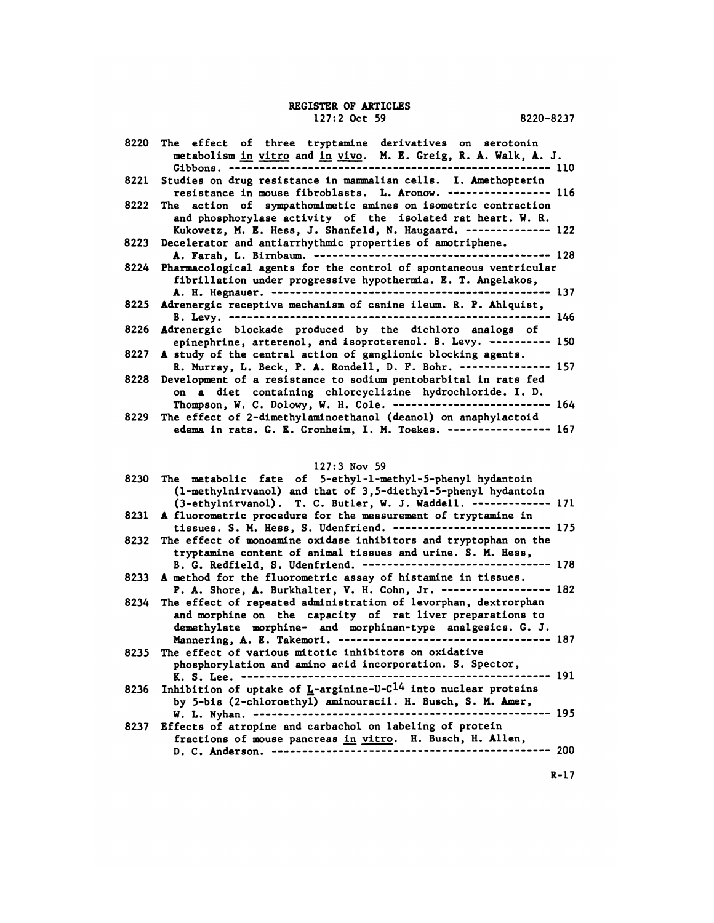# REGISTER OF ARTICLES<br>127:2 Oct 59 **STER OF ARTICLES**<br>127:2 Oct 59 8220-8237

|      | REGISTER OF ARTICLES<br>$127:2$ Oct 59<br>8220-8237                                                                                                                                                |
|------|----------------------------------------------------------------------------------------------------------------------------------------------------------------------------------------------------|
| 8220 | The effect of three tryptamine derivatives on serotonin<br>metabolism in vitro and in vivo. M. E. Greig, R. A. Walk, A. J.<br>------------------------------------- 110<br>Gibbons.<br>----------  |
| 8221 | Studies on drug resistance in mammalian cells. I. Amethopterin<br>resistance in mouse fibroblasts. L. Aronow. ----------------- 116                                                                |
| 8222 | The action of sympathomimetic amines on isometric contraction<br>and phosphorylase activity of the isolated rat heart. W. R.<br>Kukovetz, M. E. Hess, J. Shanfeld, N. Haugaard. -------------- 122 |
| 8223 | Decelerator and antiarrhythmic properties of amotriphene.                                                                                                                                          |
| 8224 | Pharmacological agents for the control of spontaneous ventricular<br>fibrillation under progressive hypothermia. E. T. Angelakos,<br>--- 137                                                       |
| 8225 | Adrenergic receptive mechanism of canine ileum. R. P. Ahlquist,<br>$--- 146$<br>B. Levy. -------------                                                                                             |
| 8226 | Adrenergic blockade produced by the dichloro analogs of<br>epinephrine, arterenol, and isoproterenol. B. Levy. ---------- 150                                                                      |
| 8227 | A study of the central action of ganglionic blocking agents.<br>R. Murray, L. Beck, P. A. Rondell, D. F. Bohr. --------------- 157                                                                 |
| 8228 | Development of a resistance to sodium pentobarbital in rats fed<br>on a diet containing chlorcyclizine hydrochloride. I. D.<br>Thompson, W. C. Dolowy, W. H. Cole. -------------------------- 164  |
| 8229 | The effect of 2-dimethylaminoethanol (deanol) on anaphylactoid<br>edema in rats. G. E. Cronheim, I. M. Toekes. ----------------- 167                                                               |
|      | $127:3$ Nov 59                                                                                                                                                                                     |
| 8230 | The metabolic fate of 5-ethyl-1-methyl-5-phenyl hydantoin                                                                                                                                          |

|      | edema in rats. G. B. Gronneim, I. M. Toekes. ------<br>.----- 10/                                                                                                                                                                                                     |
|------|-----------------------------------------------------------------------------------------------------------------------------------------------------------------------------------------------------------------------------------------------------------------------|
|      | $127:3$ Nov 59                                                                                                                                                                                                                                                        |
|      | 8230 The metabolic fate of 5-ethyl-1-methyl-5-phenyl hydantoin<br>(1-methylnirvanol) and that of 3,5-diethyl-5-phenyl hydantoin<br>(3-ethylnirvanol). T. C. Butler, W. J. Waddell. ------------- 171                                                                  |
|      | 8231 A fluorometric procedure for the measurement of tryptamine in<br>tissues. S. M. Hess, S. Udenfriend. -------------------------- 175                                                                                                                              |
|      | 8232 The effect of monoamine oxidase inhibitors and tryptophan on the<br>tryptamine content of animal tissues and urine. S. M. Hess,<br>B. G. Redfield, S. Udenfriend. ------------------------------- 178                                                            |
|      | 8233 A method for the fluorometric assay of histamine in tissues.<br>P. A. Shore, A. Burkhalter, V. H. Cohn, Jr. ------------------ 182                                                                                                                               |
|      | 8234 The effect of repeated administration of levorphan, dextrorphan<br>and morphine on the capacity of rat liver preparations to<br>demethylate morphine- and morphinan-type analgesics. G. J.<br>Mannering, A. E. Takemori. ----------------------------------- 187 |
| 8235 | The effect of various mitotic inhibitors on oxidative<br>phosphorylation and amino acid incorporation. S. Spector,                                                                                                                                                    |
| 8236 | Inhibition of uptake of $L$ -arginine-U-C <sup>14</sup> into nuclear proteins<br>by 5-bis (2-chloroethyl) aminouracil. H. Busch, S. M. Amer,                                                                                                                          |
| 8237 | Effects of atropine and carbachol on labeling of protein<br>fractions of mouse pancreas in vitro. H. Busch, H. Allen,                                                                                                                                                 |